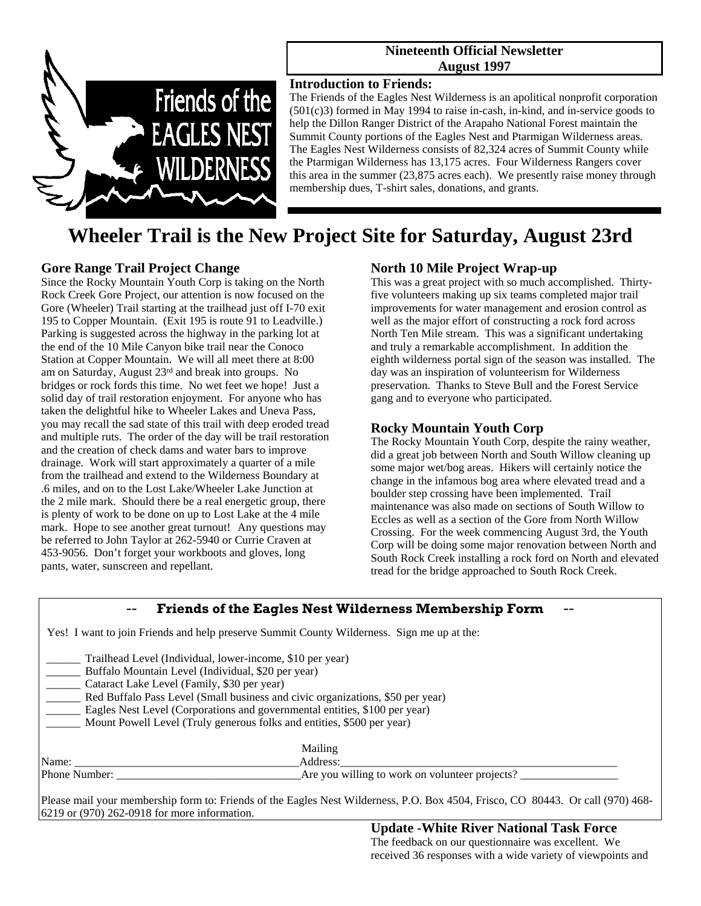

## **Nineteenth Official Newsletter August 1997**

# **Introduction to Friends:**

The Friends of the Eagles Nest Wilderness is an apolitical nonprofit corporation (501(c)3) formed in May 1994 to raise in-cash, in-kind, and in-service goods to help the Dillon Ranger District of the Arapaho National Forest maintain the Summit County portions of the Eagles Nest and Ptarmigan Wilderness areas. The Eagles Nest Wilderness consists of 82,324 acres of Summit County while the Ptarmigan Wilderness has 13,175 acres. Four Wilderness Rangers cover this area in the summer (23,875 acres each). We presently raise money through membership dues, T-shirt sales, donations, and grants.

# **Wheeler Trail is the New Project Site for Saturday, August 23rd**

# **Gore Range Trail Project Change**

Since the Rocky Mountain Youth Corp is taking on the North Rock Creek Gore Project, our attention is now focused on the Gore (Wheeler) Trail starting at the trailhead just off I-70 exit 195 to Copper Mountain. (Exit 195 is route 91 to Leadville.) Parking is suggested across the highway in the parking lot at the end of the 10 Mile Canyon bike trail near the Conoco Station at Copper Mountain. We will all meet there at 8:00 am on Saturday, August 23rd and break into groups. No bridges or rock fords this time. No wet feet we hope! Just a solid day of trail restoration enjoyment. For anyone who has taken the delightful hike to Wheeler Lakes and Uneva Pass, you may recall the sad state of this trail with deep eroded tread and multiple ruts. The order of the day will be trail restoration and the creation of check dams and water bars to improve drainage. Work will start approximately a quarter of a mile from the trailhead and extend to the Wilderness Boundary at .6 miles, and on to the Lost Lake/Wheeler Lake Junction at the 2 mile mark. Should there be a real energetic group, there is plenty of work to be done on up to Lost Lake at the 4 mile mark. Hope to see another great turnout! Any questions may be referred to John Taylor at 262-5940 or Currie Craven at 453-9056. Don't forget your workboots and gloves, long pants, water, sunscreen and repellant.

# **North 10 Mile Project Wrap-up**

This was a great project with so much accomplished. Thirtyfive volunteers making up six teams completed major trail improvements for water management and erosion control as well as the major effort of constructing a rock ford across North Ten Mile stream. This was a significant undertaking and truly a remarkable accomplishment. In addition the eighth wilderness portal sign of the season was installed. The day was an inspiration of volunteerism for Wilderness preservation. Thanks to Steve Bull and the Forest Service gang and to everyone who participated.

# **Rocky Mountain Youth Corp**

The Rocky Mountain Youth Corp, despite the rainy weather, did a great job between North and South Willow cleaning up some major wet/bog areas. Hikers will certainly notice the change in the infamous bog area where elevated tread and a boulder step crossing have been implemented. Trail maintenance was also made on sections of South Willow to Eccles as well as a section of the Gore from North Willow Crossing. For the week commencing August 3rd, the Youth Corp will be doing some major renovation between North and South Rock Creek installing a rock ford on North and elevated tread for the bridge approached to South Rock Creek.

| <b>Friends of the Eagles Nest Wilderness Membership Form</b>                                                                                                                                                                                                                                                                                                                                             |                                                                                                                             |
|----------------------------------------------------------------------------------------------------------------------------------------------------------------------------------------------------------------------------------------------------------------------------------------------------------------------------------------------------------------------------------------------------------|-----------------------------------------------------------------------------------------------------------------------------|
| Yes! I want to join Friends and help preserve Summit County Wilderness. Sign me up at the:                                                                                                                                                                                                                                                                                                               |                                                                                                                             |
| Trailhead Level (Individual, lower-income, \$10 per year)<br>Buffalo Mountain Level (Individual, \$20 per year)<br>Cataract Lake Level (Family, \$30 per year)<br>Red Buffalo Pass Level (Small business and civic organizations, \$50 per year)<br>Eagles Nest Level (Corporations and governmental entities, \$100 per year)<br>Mount Powell Level (Truly generous folks and entities, \$500 per year) |                                                                                                                             |
| Name:                                                                                                                                                                                                                                                                                                                                                                                                    | Mailing<br>Address:                                                                                                         |
| <b>Phone Number:</b> Phone Number:                                                                                                                                                                                                                                                                                                                                                                       | Are you willing to work on volunteer projects?                                                                              |
|                                                                                                                                                                                                                                                                                                                                                                                                          | Plasse mail your membership form to: Friends of the Eagles Nest Wilderness $P_0$ Roy 4504 Frisco CO 80443 Or call (970) 468 |

ase mail your membership form to: Friends of the Eagles Nest Wilderness, P.O. Box 4504, Frisco, CO 80443. Or call (970) 468-6219 or (970) 262-0918 for more information.

> **Update -White River National Task Force**  The feedback on our questionnaire was excellent. We received 36 responses with a wide variety of viewpoints and